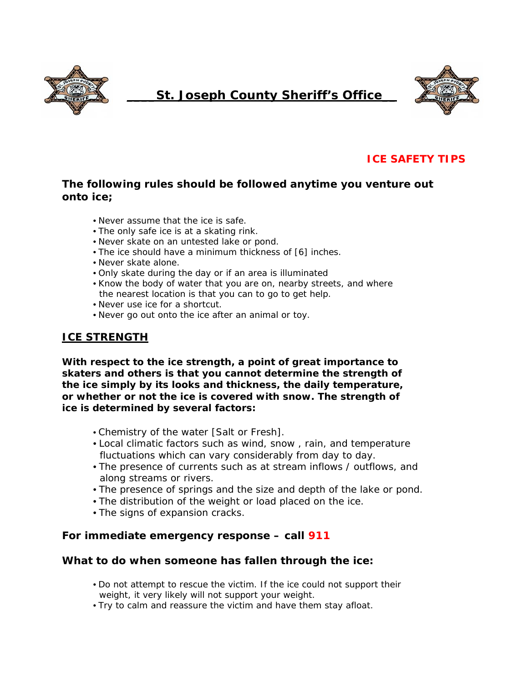

# **\_\_\_\_St. Joseph County Sheriff's Office\_\_**



## **ICE SAFETY TIPS**

### **The following rules should be followed anytime you venture out onto ice;**

- Never assume that the ice is safe.
- The only safe ice is at a skating rink.
- Never skate on an untested lake or pond.
- The ice should have a minimum thickness of [6] inches.
- Never skate alone.
- Only skate during the day or if an area is illuminated
- Know the body of water that you are on, nearby streets, and where the nearest location is that you can to go to get help.
- Never use ice for a shortcut.
- Never go out onto the ice after an animal or toy.

#### **ICE STRENGTH**

**With respect to the ice strength, a point of great importance to skaters and others is that you cannot determine the strength of the ice simply by its looks and thickness, the daily temperature, or whether or not the ice is covered with snow. The strength of ice is determined by several factors:** 

- Chemistry of the water [Salt or Fresh].
- Local climatic factors such as wind, snow , rain, and temperature fluctuations which can vary considerably from day to day.
- The presence of currents such as at stream inflows / outflows, and along streams or rivers.
- The presence of springs and the size and depth of the lake or pond.
- The distribution of the weight or load placed on the ice.
- The signs of expansion cracks.

#### **For immediate emergency response – call 911**

#### **What to do when someone has fallen through the ice:**

- Do not attempt to rescue the victim. If the ice could not support their weight, it very likely will not support your weight.
- Try to calm and reassure the victim and have them stay afloat.